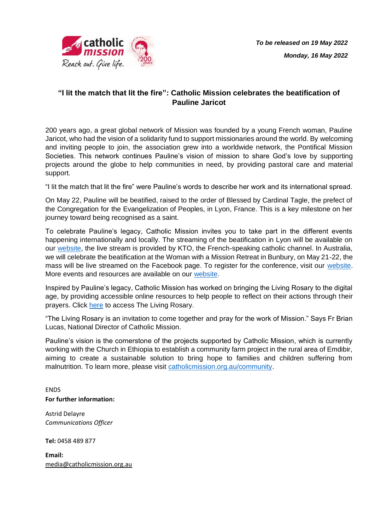

## **"I lit the match that lit the fire": Catholic Mission celebrates the beatification of Pauline Jaricot**

200 years ago, a great global network of Mission was founded by a young French woman, Pauline Jaricot, who had the vision of a solidarity fund to support missionaries around the world. By welcoming and inviting people to join, the association grew into a worldwide network, the Pontifical Mission Societies. This network continues Pauline's vision of mission to share God's love by supporting projects around the globe to help communities in need, by providing pastoral care and material support.

"I lit the match that lit the fire" were Pauline's words to describe her work and its international spread.

On May 22, Pauline will be beatified, raised to the order of Blessed by Cardinal Tagle, the prefect of the Congregation for the Evangelization of Peoples, in Lyon, France. This is a key milestone on her journey toward being recognised as a saint.

To celebrate Pauline's legacy, Catholic Mission invites you to take part in the different events happening internationally and locally. The streaming of the beatification in Lyon will be available on our [website,](https://www.catholicmission.org.au/paulinejaricot/pauline-jaricots-beatification) the live stream is provided by KTO, the French-speaking catholic channel. In Australia, we will celebrate the beatification at the Woman with a Mission Retreat in Bunbury, on May 21-22, the mass will be live streamed on the Facebook page. To register for the conference, visit our [website.](https://www.catholicmission.org.au/paulinejaricot/local-events-2022) More events and resources are available on our [website.](https://www.catholicmission.org.au/paulinejaricot)

Inspired by Pauline's legacy, Catholic Mission has worked on bringing the Living Rosary to the digital age, by providing accessible online resources to help people to reflect on their actions through their prayers. Click [here](https://www.catholicmission.org.au/the-rosary) to access The Living Rosary.

"The Living Rosary is an invitation to come together and pray for the work of Mission." Says Fr Brian Lucas, National Director of Catholic Mission.

Pauline's vision is the cornerstone of the projects supported by Catholic Mission, which is currently working with the Church in Ethiopia to establish a community farm project in the rural area of Emdibir, aiming to create a sustainable solution to bring hope to families and children suffering from malnutrition. To learn more, please visit [catholicmission.org.au/community.](https://www.catholicmission.org.au/community)

ENDS **For further information:**

Astrid Delayre *Communications Officer*

**Tel:** 0458 489 877

**Email:** [media@catholicmission.org.au](mailto:media@catholicmission.org.au)